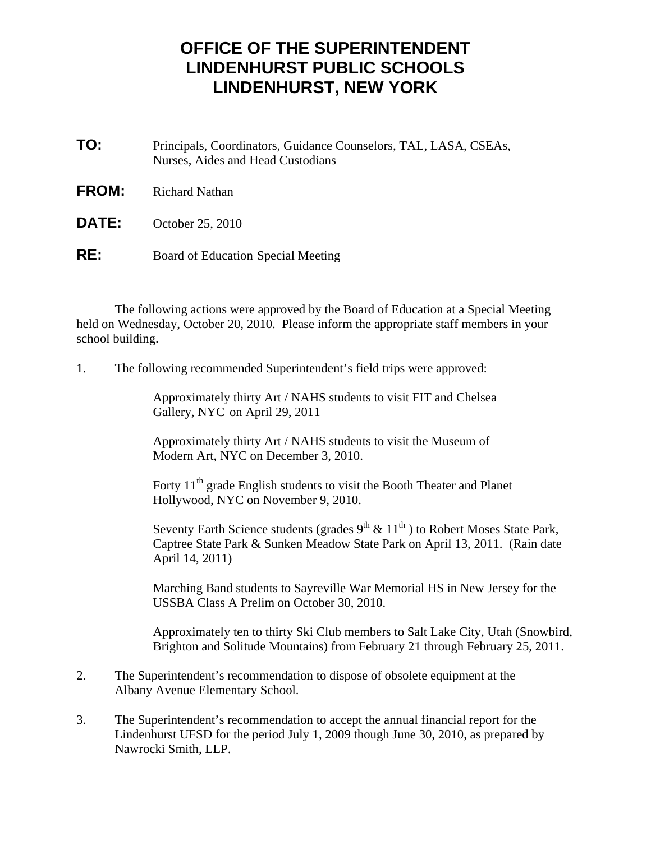## **OFFICE OF THE SUPERINTENDENT LINDENHURST PUBLIC SCHOOLS LINDENHURST, NEW YORK**

- **TO:** Principals, Coordinators, Guidance Counselors, TAL, LASA, CSEAs, Nurses, Aides and Head Custodians
- **FROM:** Richard Nathan
- **DATE:** October 25, 2010
- **RE:** Board of Education Special Meeting

 The following actions were approved by the Board of Education at a Special Meeting held on Wednesday, October 20, 2010. Please inform the appropriate staff members in your school building.

1. The following recommended Superintendent's field trips were approved:

 Approximately thirty Art / NAHS students to visit FIT and Chelsea Gallery, NYC on April 29, 2011

 Approximately thirty Art / NAHS students to visit the Museum of Modern Art, NYC on December 3, 2010.

Forty 11<sup>th</sup> grade English students to visit the Booth Theater and Planet Hollywood, NYC on November 9, 2010.

Seventy Earth Science students (grades  $9^{th}$  &  $11^{th}$ ) to Robert Moses State Park, Captree State Park & Sunken Meadow State Park on April 13, 2011. (Rain date April 14, 2011)

 Marching Band students to Sayreville War Memorial HS in New Jersey for the USSBA Class A Prelim on October 30, 2010.

 Approximately ten to thirty Ski Club members to Salt Lake City, Utah (Snowbird, Brighton and Solitude Mountains) from February 21 through February 25, 2011.

- 2. The Superintendent's recommendation to dispose of obsolete equipment at the Albany Avenue Elementary School.
- 3. The Superintendent's recommendation to accept the annual financial report for the Lindenhurst UFSD for the period July 1, 2009 though June 30, 2010, as prepared by Nawrocki Smith, LLP.